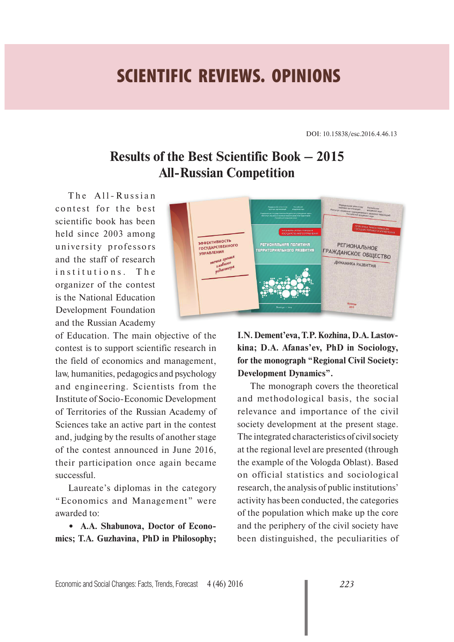## **SCIENTIFIC REVIEWS. OPINIONS**

DOI: 10.15838/esc.2016.4.46.13

## **Results of the Best Scientific Book – 2015 All-Russian Competition**

The All-Russian contest for the best scientific book has been held since 2003 among university professors and the staff of research institutions. The organizer of the contest is the National Education Development Foundation and the Russian Academy

of Education. The main objective of the contest is to support scientific research in the field of economics and management, law, humanities, pedagogics and psychology and engineering. Scientists from the Institute of Socio-Economic Development of Territories of the Russian Academy of Sciences take an active part in the contest and, judging by the results of another stage of the contest announced in June 2016, their participation once again became successful.

Laureate's diplomas in the category "Economics and Management" were awarded to:

**• A.A. Shabunova, Doctor of Economics; T.A. Guzhavina, PhD in Philosophy;** 



**I.N. Dement'eva, T.P. Kozhina, D.A. Lastovkina; D.A. Afanas'ev, PhD in Sociology, for the monograph "Regional Civil Society: Development Dynamics".**

The monograph covers the theoretical and methodological basis, the social relevance and importance of the civil society development at the present stage. The integrated characteristics of civil society at the regional level are presented (through the example of the Vologda Oblast). Based on official statistics and sociological research, the analysis of public institutions' activity has been conducted, the categories of the population which make up the core and the periphery of the civil society have been distinguished, the peculiarities of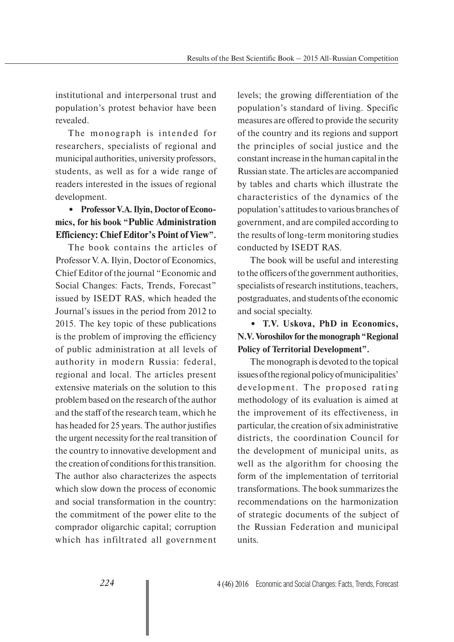institutional and interpersonal trust and population's protest behavior have been revealed.

The monograph is intended for researchers, specialists of regional and municipal authorities, university professors, students, as well as for a wide range of readers interested in the issues of regional development.

## **• Professor V.A. Ilyin, Doctor of Economics, for his book "Public Administration Efficiency: Chief Editor's Point of View".**

The book contains the articles of Professor V. A. Ilyin, Doctor of Economics, Chief Editor of the journal "Economic and Social Changes: Facts, Trends, Forecast" issued by ISEDT RAS, which headed the Journal's issues in the period from 2012 to 2015. The key topic of these publications is the problem of improving the efficiency of public administration at all levels of authority in modern Russia: federal, regional and local. The articles present extensive materials on the solution to this problem based on the research of the author and the staff of the research team, which he has headed for 25 years. The author justifies the urgent necessity for the real transition of the country to innovative development and the creation of conditions for this transition. The author also characterizes the aspects which slow down the process of economic and social transformation in the country: the commitment of the power elite to the comprador oligarchic capital; corruption which has infiltrated all government

levels; the growing differentiation of the population's standard of living. Specific measures are offered to provide the security of the country and its regions and support the principles of social justice and the constant increase in the human capital in the Russian state. The articles are accompanied by tables and charts which illustrate the characteristics of the dynamics of the population's attitudes to various branches of government, and are compiled according to the results of long-term monitoring studies conducted by ISEDT RAS.

The book will be useful and interesting to the officers of the government authorities, specialists of research institutions, teachers, postgraduates, and students of the economic and social specialty.

## **• T.V. Uskova, PhD in Economics, N.V. Voroshilov for the monograph "Regional Policy of Territorial Development".**

The monograph is devoted to the topical issues of the regional policy of municipalities' development. The proposed rating methodology of its evaluation is aimed at the improvement of its effectiveness, in particular, the creation of six administrative districts, the coordination Council for the development of municipal units, as well as the algorithm for choosing the form of the implementation of territorial transformations. The book summarizes the recommendations on the harmonization of strategic documents of the subject of the Russian Federation and municipal units.